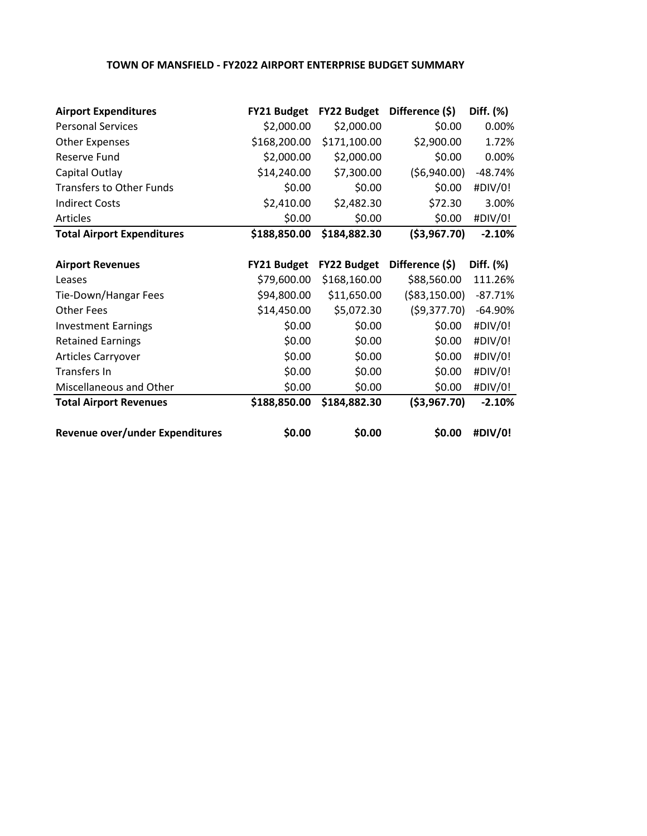## **TOWN OF MANSFIELD - FY2022 AIRPORT ENTERPRISE BUDGET SUMMARY**

| <b>Airport Expenditures</b>       | <b>FY21 Budget</b> | <b>FY22 Budget</b> | Difference (\$) | Diff. (%) |
|-----------------------------------|--------------------|--------------------|-----------------|-----------|
| <b>Personal Services</b>          | \$2,000.00         | \$2,000.00         | \$0.00          | 0.00%     |
| <b>Other Expenses</b>             | \$168,200.00       | \$171,100.00       | \$2,900.00      | 1.72%     |
| Reserve Fund                      | \$2,000.00         | \$2,000.00         | \$0.00          | 0.00%     |
| Capital Outlay                    | \$14,240.00        | \$7,300.00         | ( \$6,940.00)   | $-48.74%$ |
| <b>Transfers to Other Funds</b>   | \$0.00             | \$0.00             | \$0.00          | #DIV/0!   |
| <b>Indirect Costs</b>             | \$2,410.00         | \$2,482.30         | \$72.30         | 3.00%     |
| Articles                          | \$0.00             | \$0.00             | \$0.00          | #DIV/0!   |
| <b>Total Airport Expenditures</b> | \$188,850.00       | \$184,882.30       | ( \$3,967.70)   | $-2.10%$  |
|                                   |                    |                    |                 |           |
| <b>Airport Revenues</b>           | <b>FY21 Budget</b> | <b>FY22 Budget</b> | Difference (\$) | Diff. (%) |
| Leases                            | \$79,600.00        | \$168,160.00       | \$88,560.00     | 111.26%   |
| Tie-Down/Hangar Fees              | \$94,800.00        | \$11,650.00        | ( \$83,150.00)  | $-87.71%$ |
| <b>Other Fees</b>                 | \$14,450.00        | \$5,072.30         | (59,377.70)     | $-64.90%$ |
| <b>Investment Earnings</b>        | \$0.00             | \$0.00             | \$0.00          | #DIV/0!   |
| <b>Retained Earnings</b>          | \$0.00             | \$0.00             | \$0.00          | #DIV/0!   |
| Articles Carryover                | \$0.00             | \$0.00             | \$0.00          | #DIV/0!   |
| Transfers In                      | \$0.00             | \$0.00             | \$0.00          | #DIV/0!   |
| Miscellaneous and Other           | \$0.00             | \$0.00             | \$0.00          | #DIV/0!   |
| <b>Total Airport Revenues</b>     | \$188,850.00       | \$184,882.30       | ( \$3,967.70)   | $-2.10%$  |
| Revenue over/under Expenditures   | \$0.00             | \$0.00             | \$0.00          | #DIV/0!   |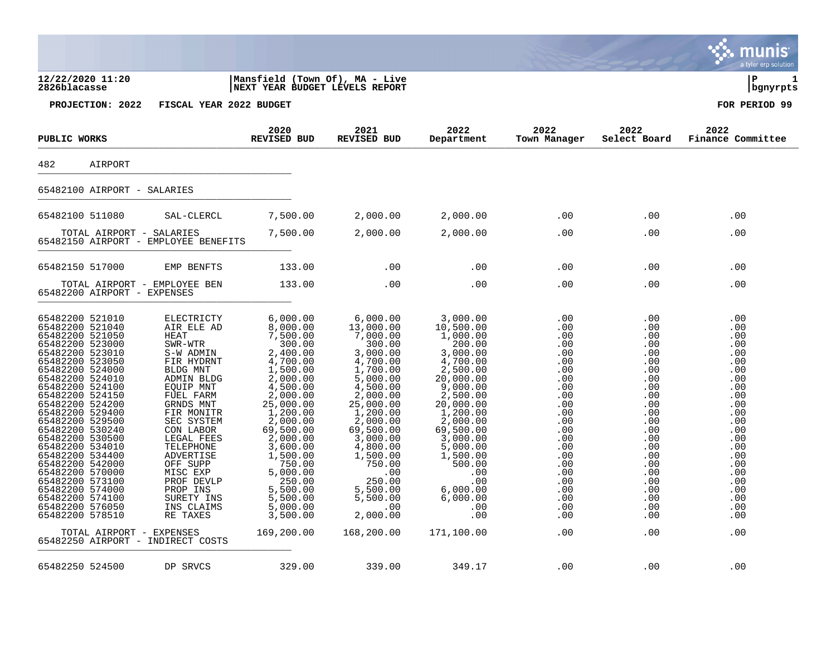|                                                                                                                                                                                                                                                                                                                                                                                                                                                                      |                                                                                                                                                                                                                                                                                                                           |                                                                                                                                                                                                                                                                                          |                                                                                                                                                                                                                                                                                              |                                                                                                                                                                                                                                                                          |                                                                                                                                                                      |                                                                                                                                                                      | a tyler erp solution                                                                                                                                                 |
|----------------------------------------------------------------------------------------------------------------------------------------------------------------------------------------------------------------------------------------------------------------------------------------------------------------------------------------------------------------------------------------------------------------------------------------------------------------------|---------------------------------------------------------------------------------------------------------------------------------------------------------------------------------------------------------------------------------------------------------------------------------------------------------------------------|------------------------------------------------------------------------------------------------------------------------------------------------------------------------------------------------------------------------------------------------------------------------------------------|----------------------------------------------------------------------------------------------------------------------------------------------------------------------------------------------------------------------------------------------------------------------------------------------|--------------------------------------------------------------------------------------------------------------------------------------------------------------------------------------------------------------------------------------------------------------------------|----------------------------------------------------------------------------------------------------------------------------------------------------------------------|----------------------------------------------------------------------------------------------------------------------------------------------------------------------|----------------------------------------------------------------------------------------------------------------------------------------------------------------------|
| 12/22/2020 11:20<br>2826blacasse                                                                                                                                                                                                                                                                                                                                                                                                                                     |                                                                                                                                                                                                                                                                                                                           | Mansfield (Town Of), MA - Live<br><b>NEXT YEAR BUDGET LEVELS REPORT</b>                                                                                                                                                                                                                  |                                                                                                                                                                                                                                                                                              |                                                                                                                                                                                                                                                                          |                                                                                                                                                                      |                                                                                                                                                                      | lР<br>  bgnyrpts                                                                                                                                                     |
| PROJECTION: 2022                                                                                                                                                                                                                                                                                                                                                                                                                                                     | FISCAL YEAR 2022 BUDGET                                                                                                                                                                                                                                                                                                   |                                                                                                                                                                                                                                                                                          |                                                                                                                                                                                                                                                                                              |                                                                                                                                                                                                                                                                          |                                                                                                                                                                      |                                                                                                                                                                      | FOR PERIOD 99                                                                                                                                                        |
| PUBLIC WORKS                                                                                                                                                                                                                                                                                                                                                                                                                                                         |                                                                                                                                                                                                                                                                                                                           | 2020<br><b>REVISED BUD</b>                                                                                                                                                                                                                                                               | 2021<br><b>REVISED BUD</b>                                                                                                                                                                                                                                                                   | 2022<br>Department                                                                                                                                                                                                                                                       | 2022<br>Town Manager                                                                                                                                                 | 2022<br>Select Board                                                                                                                                                 | 2022<br>Finance Committee                                                                                                                                            |
| 482<br>AIRPORT                                                                                                                                                                                                                                                                                                                                                                                                                                                       |                                                                                                                                                                                                                                                                                                                           |                                                                                                                                                                                                                                                                                          |                                                                                                                                                                                                                                                                                              |                                                                                                                                                                                                                                                                          |                                                                                                                                                                      |                                                                                                                                                                      |                                                                                                                                                                      |
| 65482100 AIRPORT - SALARIES                                                                                                                                                                                                                                                                                                                                                                                                                                          |                                                                                                                                                                                                                                                                                                                           |                                                                                                                                                                                                                                                                                          |                                                                                                                                                                                                                                                                                              |                                                                                                                                                                                                                                                                          |                                                                                                                                                                      |                                                                                                                                                                      |                                                                                                                                                                      |
| 65482100 511080                                                                                                                                                                                                                                                                                                                                                                                                                                                      | SAL-CLERCL                                                                                                                                                                                                                                                                                                                | 7,500.00                                                                                                                                                                                                                                                                                 | 2,000.00                                                                                                                                                                                                                                                                                     | 2,000.00                                                                                                                                                                                                                                                                 | .00                                                                                                                                                                  | .00                                                                                                                                                                  | .00                                                                                                                                                                  |
| TOTAL AIRPORT - SALARIES<br>65482150 AIRPORT - EMPLOYEE BENEFITS                                                                                                                                                                                                                                                                                                                                                                                                     |                                                                                                                                                                                                                                                                                                                           | 7,500.00                                                                                                                                                                                                                                                                                 | 2,000.00                                                                                                                                                                                                                                                                                     | 2,000.00                                                                                                                                                                                                                                                                 | .00                                                                                                                                                                  | .00                                                                                                                                                                  | .00                                                                                                                                                                  |
| 65482150 517000                                                                                                                                                                                                                                                                                                                                                                                                                                                      | EMP BENFTS                                                                                                                                                                                                                                                                                                                | 133.00                                                                                                                                                                                                                                                                                   | .00                                                                                                                                                                                                                                                                                          | .00                                                                                                                                                                                                                                                                      | .00                                                                                                                                                                  | .00                                                                                                                                                                  | .00                                                                                                                                                                  |
| 65482200 AIRPORT - EXPENSES                                                                                                                                                                                                                                                                                                                                                                                                                                          | TOTAL AIRPORT - EMPLOYEE BEN                                                                                                                                                                                                                                                                                              | 133.00                                                                                                                                                                                                                                                                                   | .00                                                                                                                                                                                                                                                                                          | .00                                                                                                                                                                                                                                                                      | .00                                                                                                                                                                  | .00                                                                                                                                                                  | .00                                                                                                                                                                  |
| 65482200 521010<br>65482200 521040<br>65482200 521050<br>65482200 523000<br>65482200 523010<br>65482200 523050<br>65482200 524000<br>65482200 524010<br>65482200 524100<br>65482200 524150<br>65482200 524200<br>65482200 529400<br>65482200 529500<br>65482200 530240<br>65482200 530500<br>65482200 534010<br>65482200 534400<br>65482200 542000<br>65482200 570000<br>65482200 573100<br>65482200 574000<br>65482200 574100<br>65482200 576050<br>65482200 578510 | ELECTRICTY<br>AIR ELE AD<br><b>HEAT</b><br>SWR-WTR<br>S-W ADMIN<br>FIR HYDRNT<br>BLDG MNT<br>ADMIN BLDG<br>EQUIP MNT<br>FUEL FARM<br>GRNDS MNT<br>FIR MONITR<br>SEC SYSTEM<br>CON LABOR<br>LEGAL FEES<br>TELEPHONE<br>ADVERTISE<br>OFF SUPP<br>MISC EXP<br>PROF DEVLP<br>PROP INS<br>SURETY INS<br>INS CLAIMS<br>RE TAXES | 6,000.00<br>8,000.00<br>7,500.00<br>300.00<br>2,400.00<br>4,700.00<br>1,500.00<br>2,000.00<br>4,500.00<br>2,000.00<br>25,000.00<br>1,200.00<br>2,000.00<br>69,500.00<br>2,000.00<br>3,600.00<br>1,500.00<br>750.00<br>5,000.00<br>250.00<br>5,500.00<br>5,500.00<br>5,000.00<br>3,500.00 | 6,000.00<br>13,000.00<br>7,000.00<br>300.00<br>3,000.00<br>4,700.00<br>1,700.00<br>$\frac{1}{5}$ ,000.00<br>4,500.00<br>2,000.00<br>25,000.00<br>1,200.00<br>2,000.00<br>69,500.00<br>3,000.00<br>4,800.00<br>1,500.00<br>750.00<br>.00<br>250.00<br>5,500.00<br>5,500.00<br>.00<br>2,000.00 | 3,000.00<br>10,500.00<br>1,000.00<br>200.00<br>3,000.00<br>4,700.00<br>2,500.00<br>20,000.00<br>9,000.00<br>2,500.00<br>20,000.00<br>1,200.00<br>2,000.00<br>69,500.00<br>3,000.00<br>5,000.00<br>1,500.00<br>500.00<br>.00<br>.00<br>6,000.00<br>6,000.00<br>.00<br>.00 | .00<br>.00<br>.00<br>.00<br>.00<br>.00<br>.00<br>.00<br>.00<br>.00<br>.00<br>.00<br>.00<br>.00<br>.00<br>.00<br>.00<br>.00<br>.00<br>.00<br>.00<br>.00<br>.00<br>.00 | .00<br>.00<br>.00<br>.00<br>.00<br>.00<br>.00<br>.00<br>.00<br>.00<br>.00<br>.00<br>.00<br>.00<br>.00<br>.00<br>.00<br>.00<br>.00<br>.00<br>.00<br>.00<br>.00<br>.00 | .00<br>.00<br>.00<br>.00<br>.00<br>.00<br>.00<br>.00<br>.00<br>.00<br>.00<br>.00<br>.00<br>.00<br>.00<br>.00<br>.00<br>.00<br>.00<br>.00<br>.00<br>.00<br>.00<br>.00 |
| TOTAL AIRPORT -<br>65482250 AIRPORT - INDIRECT COSTS                                                                                                                                                                                                                                                                                                                                                                                                                 | EXPENSES                                                                                                                                                                                                                                                                                                                  | 169,200.00                                                                                                                                                                                                                                                                               | 168,200.00                                                                                                                                                                                                                                                                                   | 171,100.00                                                                                                                                                                                                                                                               | .00                                                                                                                                                                  | .00                                                                                                                                                                  | .00                                                                                                                                                                  |
| 65482250 524500                                                                                                                                                                                                                                                                                                                                                                                                                                                      | DP SRVCS                                                                                                                                                                                                                                                                                                                  | 329.00                                                                                                                                                                                                                                                                                   | 339.00                                                                                                                                                                                                                                                                                       | 349.17                                                                                                                                                                                                                                                                   | .00                                                                                                                                                                  | .00                                                                                                                                                                  | .00                                                                                                                                                                  |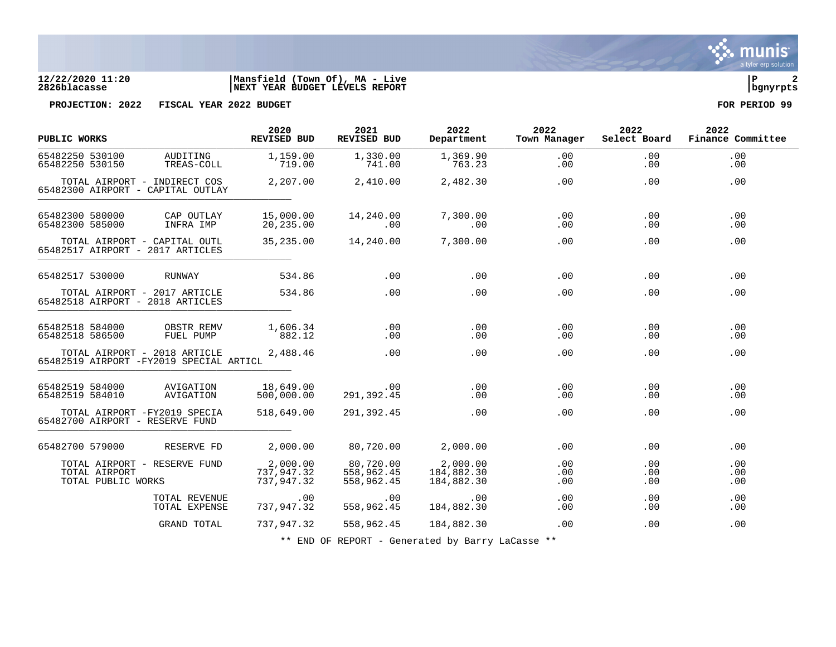

## **12/22/2020 11:20 |Mansfield (Town Of), MA - Live |P 2 2826blacasse |NEXT YEAR BUDGET LEVELS REPORT |bgnyrpts**

**PROJECTION: 2022 FISCAL YEAR 2022 BUDGET FOR PERIOD 99**

| PUBLIC WORKS                                                            |                                | 2020<br><b>REVISED BUD</b>           | 2021<br>REVISED BUD                   | 2022<br>Department                   | 2022<br>Town Manager | 2022              | 2022<br>Select Board Finance Committee |
|-------------------------------------------------------------------------|--------------------------------|--------------------------------------|---------------------------------------|--------------------------------------|----------------------|-------------------|----------------------------------------|
| 65482250 530100<br>65482250 530150                                      | AUDITING<br>TREAS-COLL         | 1,159.00<br>719.00                   | 1,330.00<br>741.00                    | 1,369.90<br>763.23                   | .00<br>.00           | .00<br>.00        | .00<br>.00                             |
| TOTAL AIRPORT - INDIRECT COS<br>65482300 AIRPORT - CAPITAL OUTLAY       |                                | 2,207.00                             | 2,410.00                              | 2,482.30                             | .00                  | .00               | .00                                    |
| 65482300 580000<br>65482300 585000                                      | CAP OUTLAY<br>INFRA IMP        | 15,000.00<br>20,235.00               | 14,240.00<br>.00                      | 7,300.00<br>.00                      | .00<br>.00           | .00<br>.00        | .00<br>.00                             |
| TOTAL AIRPORT - CAPITAL OUTL<br>65482517 AIRPORT - 2017 ARTICLES        |                                | 35,235.00                            | 14,240.00                             | 7,300.00                             | .00                  | .00               | .00                                    |
| 65482517 530000                                                         | RUNWAY                         | 534.86                               | .00                                   | .00                                  | $.00 \,$             | .00               | .00                                    |
| TOTAL AIRPORT - 2017 ARTICLE<br>65482518 AIRPORT - 2018 ARTICLES        |                                | 534.86                               | .00                                   | .00                                  | .00                  | .00               | .00                                    |
| 65482518 584000<br>65482518 586500                                      | OBSTR REMV<br>FUEL PUMP        | 1,606.34<br>882.12                   | .00<br>$.00 \,$                       | .00<br>.00                           | .00<br>.00           | .00<br>.00        | .00<br>.00                             |
| TOTAL AIRPORT - 2018 ARTICLE<br>65482519 AIRPORT -FY2019 SPECIAL ARTICL |                                | 2,488.46                             | .00                                   | .00                                  | .00                  | .00               | .00                                    |
| 65482519 584000<br>65482519 584010                                      | AVIGATION<br>AVIGATION         | 18,649.00<br>500,000.00              | $.00 \,$<br>291,392.45                | .00<br>.00                           | .00<br>.00           | .00<br>.00        | .00<br>.00                             |
| TOTAL AIRPORT -FY2019 SPECIA<br>65482700 AIRPORT - RESERVE FUND         |                                | 518,649.00                           | 291,392.45                            | .00                                  | $.00 \,$             | .00               | .00                                    |
| 65482700 579000                                                         | RESERVE FD                     | 2,000.00                             | 80,720.00                             | 2,000.00                             | .00                  | .00               | .00                                    |
| TOTAL AIRPORT - RESERVE FUND<br>TOTAL AIRPORT<br>TOTAL PUBLIC WORKS     |                                | 2,000.00<br>737,947.32<br>737,947.32 | 80,720.00<br>558,962.45<br>558,962.45 | 2,000.00<br>184,882.30<br>184,882.30 | .00<br>.00<br>.00    | .00<br>.00<br>.00 | .00<br>.00<br>.00                      |
|                                                                         | TOTAL REVENUE<br>TOTAL EXPENSE | .00<br>737,947.32                    | .00<br>558,962.45                     | .00<br>184,882.30                    | .00<br>.00           | .00<br>.00        | .00<br>.00                             |
|                                                                         | GRAND TOTAL                    | 737,947.32                           | 558,962.45                            | 184,882.30                           | .00                  | .00               | .00                                    |

\*\* END OF REPORT - Generated by Barry LaCasse \*\*